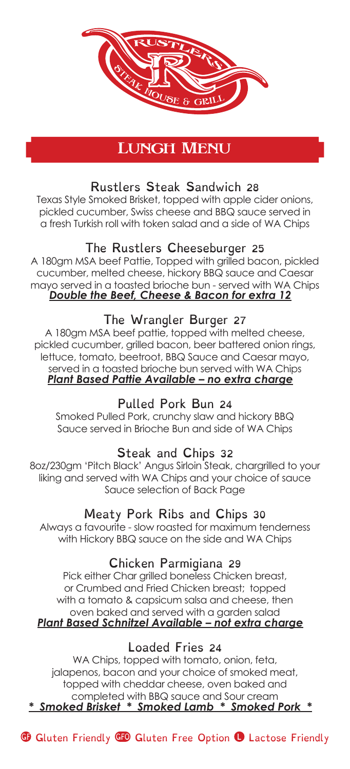

# LUNGH MENU

# Rustlers Steak Sandwich 28

Texas Style Smoked Brisket, topped with apple cider onions, pickled cucumber, Swiss cheese and BBQ sauce served in a fresh Turkish roll with token salad and a side of WA Chips

### The Rustlers Cheeseburger 25

A 180gm MSA beef Pattie, Topped with grilled bacon, pickled cucumber, melted cheese, hickory BBQ sauce and Caesar mayo served in a toasted brioche bun - served with WA Chips *Double the Beef, Cheese & Bacon for extra 12*

#### The Wrangler Burger 27

A 180gm MSA beef pattie, topped with melted cheese, pickled cucumber, grilled bacon, beer battered onion rings, lettuce, tomato, beetroot, BBQ Sauce and Caesar mayo, served in a toasted brioche bun served with WA Chips *Plant Based Pattie Available – no extra charge*

### Pulled Pork Bun 24

Smoked Pulled Pork, crunchy slaw and hickory BBQ Sauce served in Brioche Bun and side of WA Chips

#### Steak and Chips 32

8oz/230gm 'Pitch Black' Angus Sirloin Steak, chargrilled to your liking and served with WA Chips and your choice of sauce Sauce selection of Back Page

## Meaty Pork Ribs and Chips 30

Always a favourite - slow roasted for maximum tenderness with Hickory BBQ sauce on the side and WA Chips

#### Chicken Parmigiana 29

Pick either Char grilled boneless Chicken breast, or Crumbed and Fried Chicken breast; topped with a tomato & capsicum salsa and cheese, then oven baked and served with a garden salad *Plant Based Schnitzel Available – not extra charge*

### Loaded Fries 24

WA Chips, topped with tomato, onion, feta, jalapenos, bacon and your choice of smoked meat, topped with cheddar cheese, oven baked and completed with BBQ sauce and Sour cream *\* Smoked Brisket \* Smoked Lamb \* Smoked Pork \**

Guten Friendly GFO Gluten Free Option <sup>O</sup> Lactose Friendly